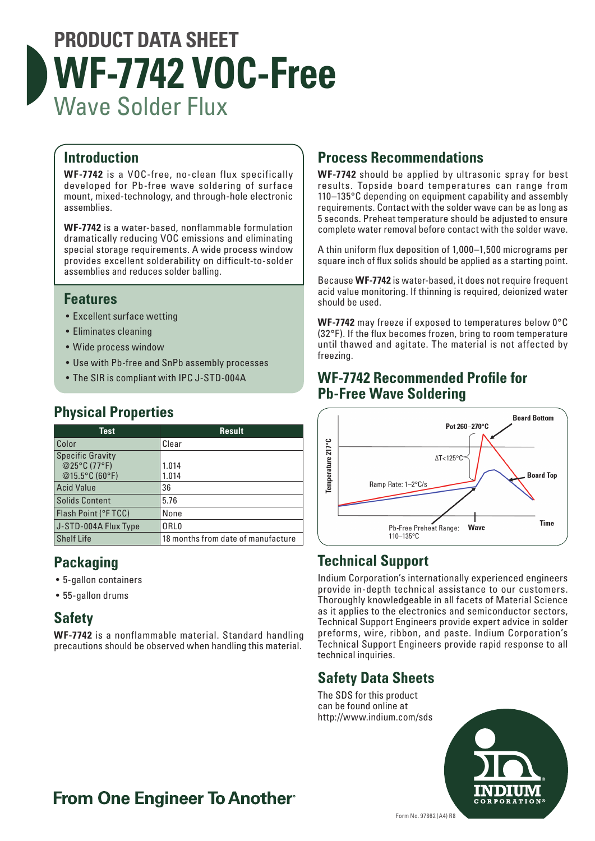

#### **Introduction**

**WF-7742** is a VOC-free, no-clean flux specifically developed for Pb-free wave soldering of surface mount, mixed-technology, and through-hole electronic assemblies.

**WF-7742** is a water-based, nonflammable formulation dramatically reducing VOC emissions and eliminating special storage requirements. A wide process window provides excellent solderability on difficult-to-solder assemblies and reduces solder balling.

#### **Features**

- Excellent surface wetting
- Eliminates cleaning
- Wide process window
- Use with Pb-free and SnPb assembly processes
- The SIR is compliant with IPC J-STD-004A

## **Physical Properties**

| <b>Test</b>             | <b>Result</b>                      |
|-------------------------|------------------------------------|
| Color                   | Clear                              |
| <b>Specific Gravity</b> |                                    |
| @25°C (77°F)            | 1.014                              |
| @15.5°C (60°F)          | 1.014                              |
| <b>Acid Value</b>       | 36                                 |
| <b>Solids Content</b>   | 5.76                               |
| Flash Point (°F TCC)    | None                               |
| J-STD-004A Flux Type    | <b>ORLO</b>                        |
| <b>Shelf Life</b>       | 18 months from date of manufacture |

## **Packaging**

- 5-gallon containers
- 55-gallon drums

#### **Safety**

**WF-7742** is a nonflammable material. Standard handling precautions should be observed when handling this material.

### **Process Recommendations**

**WF-7742** should be applied by ultrasonic spray for best results. Topside board temperatures can range from 110–135°C depending on equipment capability and assembly requirements. Contact with the solder wave can be as long as 5 seconds. Preheat temperature should be adjusted to ensure complete water removal before contact with the solder wave.

A thin uniform flux deposition of 1,000–1,500 micrograms per square inch of flux solids should be applied as a starting point.

Because **WF-7742** is water-based, it does not require frequent acid value monitoring. If thinning is required, deionized water should be used.

**WF-7742** may freeze if exposed to temperatures below 0°C (32°F). If the flux becomes frozen, bring to room temperature until thawed and agitate. The material is not affected by freezing.

#### **WF-7742 Recommended Profile for Pb-Free Wave Soldering**



## **Technical Support**

Indium Corporation's internationally experienced engineers provide in-depth technical assistance to our customers. Thoroughly knowledgeable in all facets of Material Science as it applies to the electronics and semiconductor sectors, Technical Support Engineers provide expert advice in solder preforms, wire, ribbon, and paste. Indium Corporation's Technical Support Engineers provide rapid response to all technical inquiries.

## **Safety Data Sheets**

The SDS for this product can be found online at http://www.indium.com/sds



## **From One Engineer To Another**®

Form No. 97862 (A4) R8